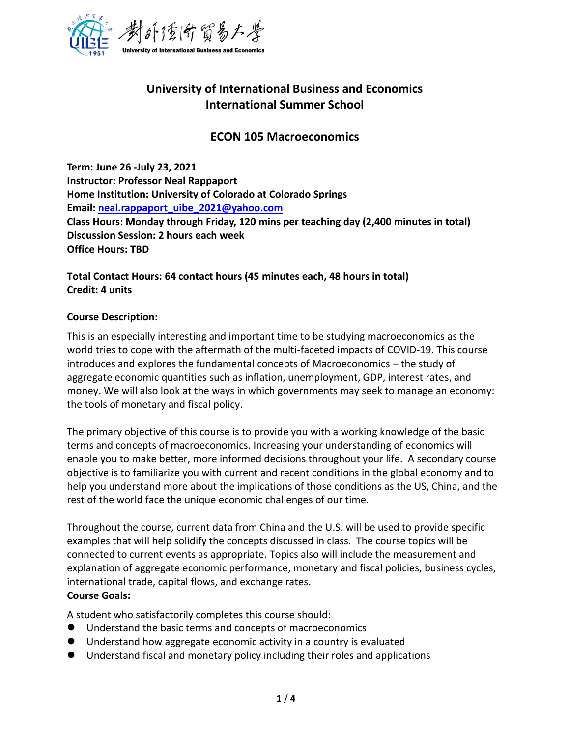

# **University of International Business and Economics International Summer School**

# **ECON 105 Macroeconomics**

**Term: June 26 -July 23, 2021 Instructor: Professor Neal Rappaport Home Institution: University of Colorado at Colorado Springs Email: [neal.rappaport\\_uibe\\_2021@yahoo.com](mailto:neal.rappaport_uibe_2021@yahoo.com) Class Hours: Monday through Friday, 120 mins per teaching day (2,400 minutes in total) Discussion Session: 2 hours each week Office Hours: TBD**

**Total Contact Hours: 64 contact hours (45 minutes each, 48 hours in total) Credit: 4 units**

#### **Course Description:**

This is an especially interesting and important time to be studying macroeconomics as the world tries to cope with the aftermath of the multi-faceted impacts of COVID-19. This course introduces and explores the fundamental concepts of Macroeconomics – the study of aggregate economic quantities such as inflation, unemployment, GDP, interest rates, and money. We will also look at the ways in which governments may seek to manage an economy: the tools of monetary and fiscal policy.

The primary objective of this course is to provide you with a working knowledge of the basic terms and concepts of macroeconomics. Increasing your understanding of economics will enable you to make better, more informed decisions throughout your life. A secondary course objective is to familiarize you with current and recent conditions in the global economy and to help you understand more about the implications of those conditions as the US, China, and the rest of the world face the unique economic challenges of our time.

Throughout the course, current data from China and the U.S. will be used to provide specific examples that will help solidify the concepts discussed in class. The course topics will be connected to current events as appropriate. Topics also will include the measurement and explanation of aggregate economic performance, monetary and fiscal policies, business cycles, international trade, capital flows, and exchange rates. **Course Goals:**

A student who satisfactorily completes this course should:

- Understand the basic terms and concepts of macroeconomics
- ⚫ Understand how aggregate economic activity in a country is evaluated
- Understand fiscal and monetary policy including their roles and applications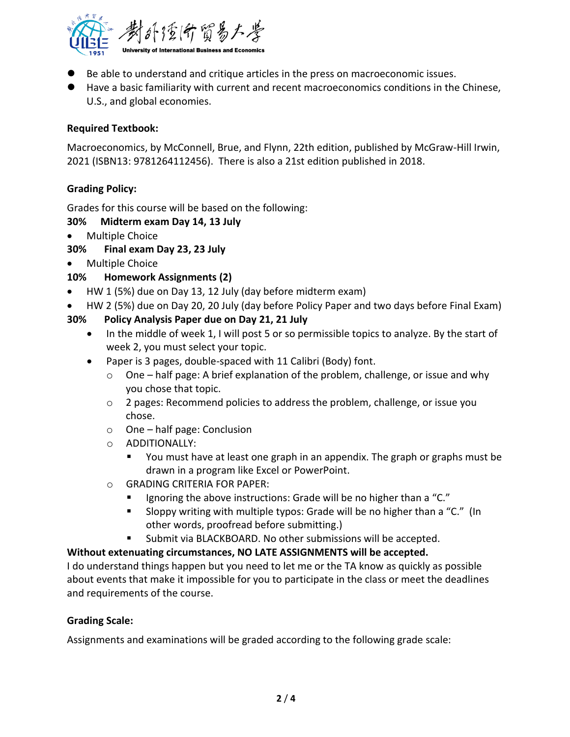

- Be able to understand and critique articles in the press on macroeconomic issues.
- Have a basic familiarity with current and recent macroeconomics conditions in the Chinese, U.S., and global economies.

## **Required Textbook:**

Macroeconomics, by McConnell, Brue, and Flynn, 22th edition, published by McGraw-Hill Irwin, 2021 (ISBN13: 9781264112456). There is also a 21st edition published in 2018.

# **Grading Policy:**

Grades for this course will be based on the following:

#### **30% Midterm exam Day 14, 13 July**

• Multiple Choice

## **30% Final exam Day 23, 23 July**

• Multiple Choice

## **10% Homework Assignments (2)**

- HW 1 (5%) due on Day 13, 12 July (day before midterm exam)
- HW 2 (5%) due on Day 20, 20 July (day before Policy Paper and two days before Final Exam)
- **30% Policy Analysis Paper due on Day 21, 21 July**
	- In the middle of week 1, I will post 5 or so permissible topics to analyze. By the start of week 2, you must select your topic.
	- Paper is 3 pages, double-spaced with 11 Calibri (Body) font.
		- o One half page: A brief explanation of the problem, challenge, or issue and why you chose that topic.
		- o 2 pages: Recommend policies to address the problem, challenge, or issue you chose.
		- o One half page: Conclusion
		- o ADDITIONALLY:
			- You must have at least one graph in an appendix. The graph or graphs must be drawn in a program like Excel or PowerPoint.
		- o GRADING CRITERIA FOR PAPER:
			- Ignoring the above instructions: Grade will be no higher than a "C."
			- Sloppy writing with multiple typos: Grade will be no higher than a "C." (In other words, proofread before submitting.)
			- Submit via BLACKBOARD. No other submissions will be accepted.

## **Without extenuating circumstances, NO LATE ASSIGNMENTS will be accepted.**

I do understand things happen but you need to let me or the TA know as quickly as possible about events that make it impossible for you to participate in the class or meet the deadlines and requirements of the course.

## **Grading Scale:**

Assignments and examinations will be graded according to the following grade scale: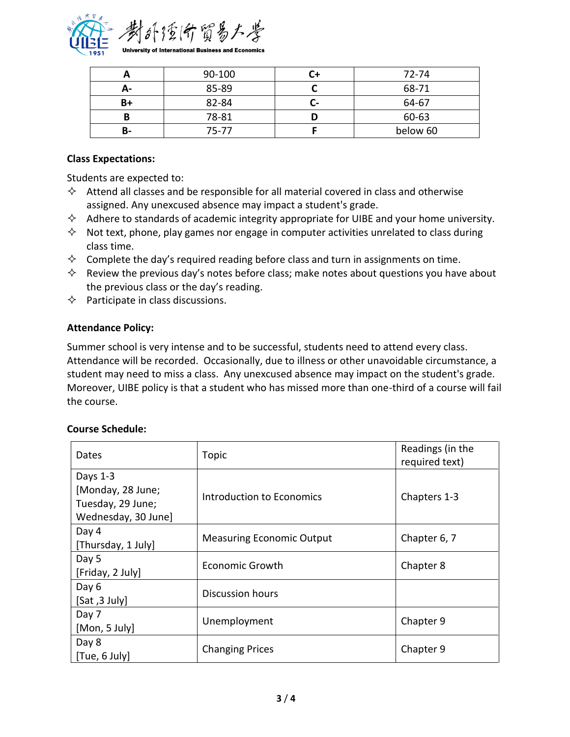

|    | 90-100 | 72-74    |
|----|--------|----------|
|    | 85-89  | 68-71    |
| B+ | 82-84  | 64-67    |
| В  | 78-81  | 60-63    |
| в- | 75-77  | below 60 |

#### **Class Expectations:**

Students are expected to:

- $\Diamond$  Attend all classes and be responsible for all material covered in class and otherwise assigned. Any unexcused absence may impact a student's grade.
- $\Diamond$  Adhere to standards of academic integrity appropriate for UIBE and your home university.
- $\Diamond$  Not text, phone, play games nor engage in computer activities unrelated to class during class time.
- $\diamond$  Complete the day's required reading before class and turn in assignments on time.
- $\Diamond$  Review the previous day's notes before class; make notes about questions you have about the previous class or the day's reading.
- $\Diamond$  Participate in class discussions.

## **Attendance Policy:**

Summer school is very intense and to be successful, students need to attend every class. Attendance will be recorded. Occasionally, due to illness or other unavoidable circumstance, a student may need to miss a class. Any unexcused absence may impact on the student's grade. Moreover, UIBE policy is that a student who has missed more than one-third of a course will fail the course.

## **Course Schedule:**

| Dates                                    | Topic                            | Readings (in the<br>required text) |
|------------------------------------------|----------------------------------|------------------------------------|
| Days 1-3                                 |                                  |                                    |
| [Monday, 28 June;                        | <b>Introduction to Economics</b> | Chapters 1-3                       |
| Tuesday, 29 June;<br>Wednesday, 30 June] |                                  |                                    |
| Day 4                                    | <b>Measuring Economic Output</b> | Chapter 6, 7                       |
| [Thursday, 1 July]                       |                                  |                                    |
| Day 5                                    | Economic Growth                  | Chapter 8                          |
| [Friday, 2 July]                         |                                  |                                    |
| Day 6                                    | Discussion hours                 |                                    |
| [Sat, 3 July]                            |                                  |                                    |
| Day 7                                    | Unemployment                     | Chapter 9                          |
| [Mon, 5 July]                            |                                  |                                    |
| Day 8                                    | <b>Changing Prices</b>           | Chapter 9                          |
| [Tue, 6 July]                            |                                  |                                    |